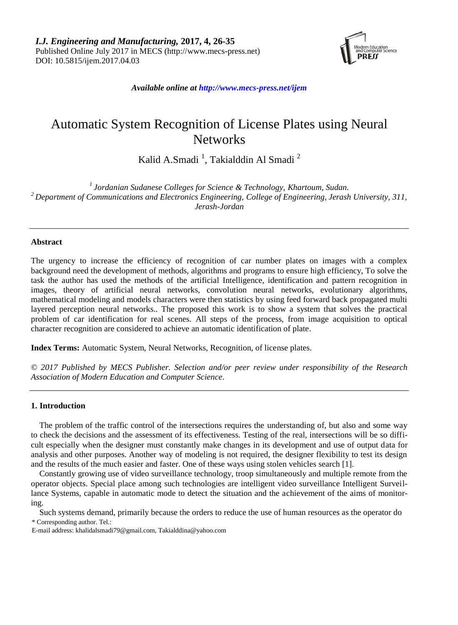

*Available online at http://www.mecs-press.net/ijem*

# Automatic System Recognition of License Plates using Neural **Networks**

Kalid A.Smadi<sup>1</sup>, Takialddin Al Smadi<sup>2</sup>

*1 Jordanian Sudanese Colleges for Science & Technology, Khartoum, Sudan. <sup>2</sup> Department of Communications and Electronics Engineering, College of Engineering, Jerash University, 311, Jerash-Jordan*

### **Abstract**

The urgency to increase the efficiency of recognition of car number plates on images with a complex background need the development of methods, algorithms and programs to ensure high efficiency, To solve the task the author has used the methods of the artificial Intelligence, identification and pattern recognition in images, theory of artificial neural networks, convolution neural networks, evolutionary algorithms, mathematical modeling and models characters were then statistics by using feed forward back propagated multi layered perception neural networks.. The proposed this work is to show a system that solves the practical problem of car identification for real scenes. All steps of the process, from image acquisition to optical character recognition are considered to achieve an automatic identification of plate.

**Index Terms:** Automatic System, Neural Networks, Recognition, of license plates.

*© 2017 Published by MECS Publisher. Selection and/or peer review under responsibility of the Research Association of Modern Education and Computer Science.*

#### **1. Introduction**

The problem of the traffic control of the intersections requires the understanding of, but also and some way to check the decisions and the assessment of its effectiveness. Testing of the real, intersections will be so difficult especially when the designer must constantly make changes in its development and use of output data for analysis and other purposes. Another way of modeling is not required, the designer flexibility to test its design and the results of the much easier and faster. One of these ways using stolen vehicles search [1].

Constantly growing use of video surveillance technology, troop simultaneously and multiple remote from the operator objects. Special place among such technologies are intelligent video surveillance Intelligent Surveillance Systems, capable in automatic mode to detect the situation and the achievement of the aims of monitoring.

Such systems demand, primarily because the orders to reduce the use of human resources as the operator do \* Corresponding author. Tel.:

E-mail address: khalidalsmadi79@gmail.com, Takialddina@yahoo.com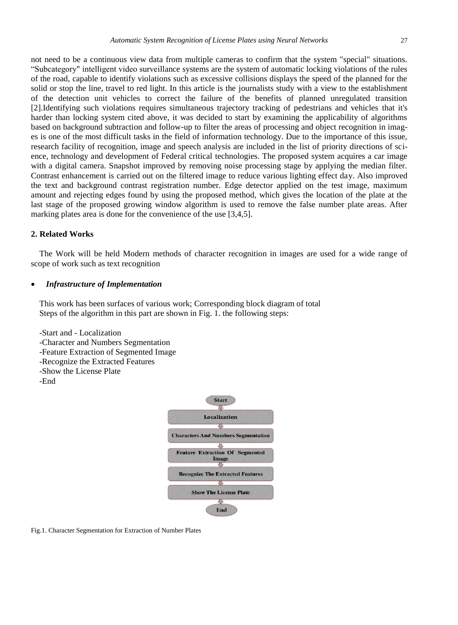not need to be a continuous view data from multiple cameras to confirm that the system "special" situations. "Subcategory" intelligent video surveillance systems are the system of automatic locking violations of the rules of the road, capable to identify violations such as excessive collisions displays the speed of the planned for the solid or stop the line, travel to red light. In this article is the journalists study with a view to the establishment of the detection unit vehicles to correct the failure of the benefits of planned unregulated transition [2].Identifying such violations requires simultaneous trajectory tracking of pedestrians and vehicles that it's harder than locking system cited above, it was decided to start by examining the applicability of algorithms based on background subtraction and follow-up to filter the areas of processing and object recognition in images is one of the most difficult tasks in the field of information technology. Due to the importance of this issue, research facility of recognition, image and speech analysis are included in the list of priority directions of science, technology and development of Federal critical technologies. The proposed system acquires a car image with a digital camera. Snapshot improved by removing noise processing stage by applying the median filter. Contrast enhancement is carried out on the filtered image to reduce various lighting effect day. Also improved the text and background contrast registration number. Edge detector applied on the test image, maximum amount and rejecting edges found by using the proposed method, which gives the location of the plate at the last stage of the proposed growing window algorithm is used to remove the false number plate areas. After marking plates area is done for the convenience of the use [3,4,5].

## **2. Related Works**

The Work will be held Modern methods of character recognition in images are used for a wide range of scope of work such as text recognition

#### *Infrastructure of Implementation*

This work has been surfaces of various work; Corresponding block diagram of total Steps of the algorithm in this part are shown in Fig. 1. the following steps:

-Start and - Localization -Character and Numbers Segmentation -Feature Extraction of Segmented Image -Recognize the Extracted Features -Show the License Plate -End



Fig.1. Character Segmentation for Extraction of Number Plates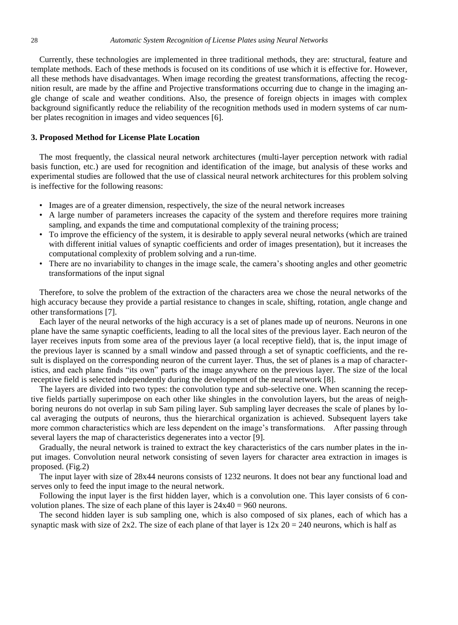Currently, these technologies are implemented in three traditional methods, they are: structural, feature and template methods. Each of these methods is focused on its conditions of use which it is effective for. However, all these methods have disadvantages. When image recording the greatest transformations, affecting the recognition result, are made by the affine and Projective transformations occurring due to change in the imaging angle change of scale and weather conditions. Also, the presence of foreign objects in images with complex background significantly reduce the reliability of the recognition methods used in modern systems of car number plates recognition in images and video sequences [6].

#### **3. Proposed Method for License Plate Location**

The most frequently, the classical neural network architectures (multi-layer perception network with radial basis function, etc.) are used for recognition and identification of the image, but analysis of these works and experimental studies are followed that the use of classical neural network architectures for this problem solving is ineffective for the following reasons:

- Images are of a greater dimension, respectively, the size of the neural network increases
- A large number of parameters increases the capacity of the system and therefore requires more training sampling, and expands the time and computational complexity of the training process;
- To improve the efficiency of the system, it is desirable to apply several neural networks (which are trained with different initial values of synaptic coefficients and order of images presentation), but it increases the computational complexity of problem solving and a run-time.
- There are no invariability to changes in the image scale, the camera's shooting angles and other geometric transformations of the input signal

Therefore, to solve the problem of the extraction of the characters area we chose the neural networks of the high accuracy because they provide a partial resistance to changes in scale, shifting, rotation, angle change and other transformations [7].

Each layer of the neural networks of the high accuracy is a set of planes made up of neurons. Neurons in one plane have the same synaptic coefficients, leading to all the local sites of the previous layer. Each neuron of the layer receives inputs from some area of the previous layer (a local receptive field), that is, the input image of the previous layer is scanned by a small window and passed through a set of synaptic coefficients, and the result is displayed on the corresponding neuron of the current layer. Thus, the set of planes is a map of characteristics, and each plane finds "its own" parts of the image anywhere on the previous layer. The size of the local receptive field is selected independently during the development of the neural network [8].

The layers are divided into two types: the convolution type and sub-selective one. When scanning the receptive fields partially superimpose on each other like shingles in the convolution layers, but the areas of neighboring neurons do not overlap in sub Sam piling layer. Sub sampling layer decreases the scale of planes by local averaging the outputs of neurons, thus the hierarchical organization is achieved. Subsequent layers take more common characteristics which are less dependent on the image's transformations. After passing through several layers the map of characteristics degenerates into a vector [9].

Gradually, the neural network is trained to extract the key characteristics of the cars number plates in the input images. Convolution neural network consisting of seven layers for character area extraction in images is proposed. (Fig.2)

The input layer with size of 28x44 neurons consists of 1232 neurons. It does not bear any functional load and serves only to feed the input image to the neural network.

Following the input layer is the first hidden layer, which is a convolution one. This layer consists of 6 convolution planes. The size of each plane of this layer is 24x40 = 960 neurons.

The second hidden layer is sub sampling one, which is also composed of six planes, each of which has a synaptic mask with size of  $2x2$ . The size of each plane of that layer is  $12x 20 = 240$  neurons, which is half as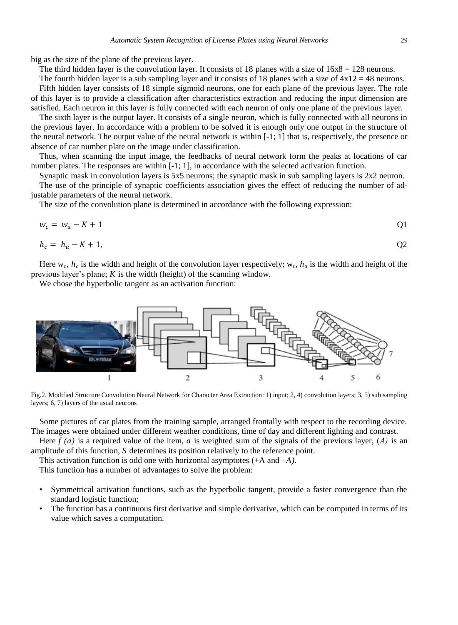big as the size of the plane of the previous layer.

The third hidden layer is the convolution layer. It consists of 18 planes with a size of  $16x8 = 128$  neurons.

The fourth hidden layer is a sub sampling layer and it consists of 18 planes with a size of  $4x12 = 48$  neurons. Fifth hidden layer consists of 18 simple sigmoid neurons, one for each plane of the previous layer. The role of this layer is to provide a classification after characteristics extraction and reducing the input dimension are satisfied. Each neuron in this layer is fully connected with each neuron of only one plane of the previous layer.

The sixth layer is the output layer. It consists of a single neuron, which is fully connected with all neurons in the previous layer. In accordance with a problem to be solved it is enough only one output in the structure of the neural network. The output value of the neural network is within [-1; 1] that is, respectively, the presence or absence of car number plate on the image under classification.

Thus, when scanning the input image, the feedbacks of neural network form the peaks at locations of car number plates. The responses are within  $[-1, 1]$ , in accordance with the selected activation function.

Synaptic mask in convolution layers is 5x5 neurons; the synaptic mask in sub sampling layers is 2x2 neuron.

The use of the principle of synaptic coefficients association gives the effect of reducing the number of adjustable parameters of the neural network.

The size of the convolution plane is determined in accordance with the following expression:

$$
w_c = w_u - K + 1 \tag{Q1}
$$

$$
h_c = h_u - K + 1,\tag{22}
$$

Here  $w_c$ ,  $h_c$  is the width and height of the convolution layer respectively;  $w_u$ ,  $h_u$  is the width and height of the previous layer's plane; *K* is the width (height) of the scanning window.

We chose the hyperbolic tangent as an activation function:



Fig.2. Modified Structure Convolution Neural Network for Character Area Extraction: 1) input; 2, 4) convolution layers; 3, 5) sub sampling layers; 6, 7) layers of the usual neurons

Some pictures of car plates from the training sample, arranged frontally with respect to the recording device. The images were obtained under different weather conditions, time of day and different lighting and contrast.

Here *f (a)* is a required value of the item, *a* is weighted sum of the signals of the previous layer, (*А)* is an amplitude of this function, *S* determines its position relatively to the reference point.

This activation function is odd one with horizontal asymptotes (+A and *–A).*

This function has a number of advantages to solve the problem:

- Symmetrical activation functions, such as the hyperbolic tangent, provide a faster convergence than the standard logistic function;
- The function has a continuous first derivative and simple derivative, which can be computed in terms of its value which saves a computation.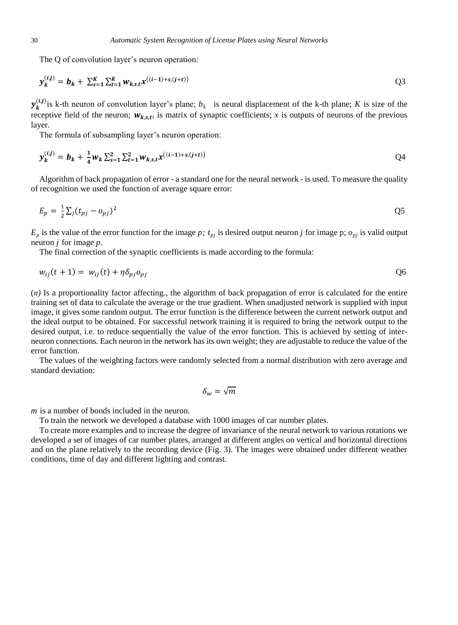The Q of convolution layer's neuron operation:

$$
\mathbf{y}_{k}^{(i,j)} = \mathbf{b}_{k} + \sum_{s=1}^{K} \sum_{t=1}^{K} w_{k,s,t} \mathbf{x}^{((i-1)+s,(j+t))}
$$
 (23)

 $\mathbf{y}_{k}^{(i,j)}$  is k-th neuron of convolution layer's plane;  $b_k$  is neural displacement of the k-th plane; *K* is size of the receptive field of the neuron;  $w_{k,s,t}$  is matrix of synaptic coefficients; x is outputs of neurons of the previous layer.

The formula of subsampling layer's neuron operation:

$$
\mathbf{y}_{k}^{(i,j)} = \mathbf{b}_{k} + \frac{1}{4} w_{k} \sum_{s=1}^{2} \sum_{t=1}^{2} w_{k,s,t} \mathbf{x}^{((i-1)+s,(j+t))}
$$

Algorithm of back propagation of error - a standard one for the neural network - is used. To measure the quality of recognition we used the function of average square error:

$$
E_p = \frac{1}{2} \sum_j (t_{pj} - o_{pj})^2
$$

 $E_p$  is the value of the error function for the image *p*;  $t_{pj}$  is desired output neuron *j* for image p;  $o_{pj}$  is valid output neuron *j* for image *p.*

The final correction of the synaptic coefficients is made according to the formula:

$$
w_{ij}(t+1) = w_{ij}(t) + \eta \delta_{pj} o_{pj} \tag{06}
$$

(*п)* Is a proportionality factor affecting., the algorithm of back propagation of error is calculated for the entire training set of data to calculate the average or the true gradient. When unadjusted network is supplied with input image, it gives some random output. The error function is the difference between the current network output and the ideal output to be obtained. For successful network training it is required to bring the network output to the desired output, i.e. to reduce sequentially the value of the error function. This is achieved by setting of interneuron connections. Each neuron in the network has its own weight; they are adjustable to reduce the value of the error function.

The values of the weighting factors were randomly selected from a normal distribution with zero average and standard deviation:

$$
\delta_w = \sqrt{m}
$$

*m* is a number of bonds included in the neuron.

To train the network we developed a database with 1000 images of car number plates.

To create more examples and to increase the degree of invariance of the neural network to various rotations we developed a set of images of car number plates, arranged at different angles on vertical and horizontal directions and on the plane relatively to the recording device (Fig. 3). The images were obtained under different weather conditions, time of day and different lighting and contrast.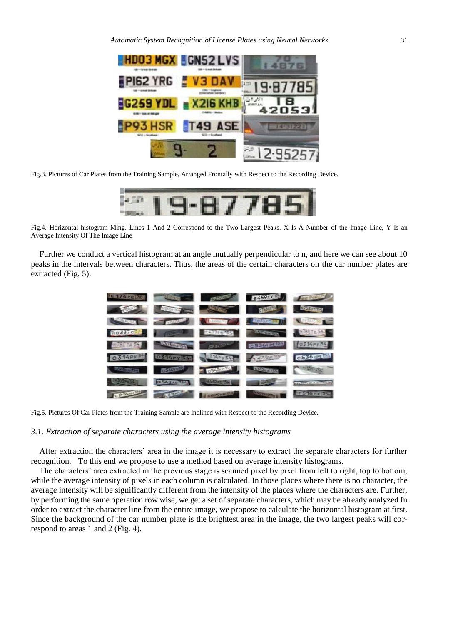

Fig.3. Pictures of Car Plates from the Training Sample, Arranged Frontally with Respect to the Recording Device.



Fig.4. Horizontal histogram Ming. Lines 1 And 2 Correspond to the Two Largest Peaks. X Is A Number of the Image Line, Y Is an Average Intensity Of The Image Line

Further we conduct a vertical histogram at an angle mutually perpendicular to n, and here we can see about 10 peaks in the intervals between characters. Thus, the areas of the certain characters on the car number plates are extracted (Fig. 5).

| E459XXL BE PASSAGE PASSAGE PASSAGE PASSAGE                                                                                                                                                                                           |  |                    |
|--------------------------------------------------------------------------------------------------------------------------------------------------------------------------------------------------------------------------------------|--|--------------------|
| A 1999 The Company of the Company of the Company of the Company of the Company of                                                                                                                                                    |  |                    |
| <b>Comment of the Comment of Comment of Comment of Comment of Comment of Comment of Comment of Comment of Comment of Comment of Comment of Comment of Comment of Comment of Comment of Comment of Comment of Comment of Comment </b> |  |                    |
| ROBBIC SALES AND RESERVE TO A RESIDENCE OF REAL PROPERTY.                                                                                                                                                                            |  |                    |
| <b>BETTER REPORT FOLLOWS BESSERVED DELIVERY</b>                                                                                                                                                                                      |  |                    |
| 0314PY 34 0314PY 54 34PY 54 667775 34 C536HM 34                                                                                                                                                                                      |  |                    |
| <b>CERTIFICATE DESCRIPTION OF DESCRIPTION OF REAL PROPERTY.</b>                                                                                                                                                                      |  |                    |
| <b>EXSECUTIVE PASSESSED AND RESPONSE TO A REGISTER</b>                                                                                                                                                                               |  | <b>TAILERTHING</b> |
| <b>FOLDED TO SOLUTION AND RESIDENCE OF A RESIDENCE OF A RESIDENCE OF A RESIDENCE OF A RESIDENCE OF A RESIDENCE OF A RESIDENCE OF A RESIDENCE OF A RESIDENCE OF A RESIDENCE OF A RESIDENCE OF A RESIDENCE OF A RESIDENCE OF A RES</b> |  |                    |

Fig.5. Pictures Of Car Plates from the Training Sample are Inclined with Respect to the Recording Device.

#### *3.1. Extraction of separate characters using the average intensity histograms*

After extraction the characters' area in the image it is necessary to extract the separate characters for further recognition. To this end we propose to use a method based on average intensity histograms.

The characters' area extracted in the previous stage is scanned pixel by pixel from left to right, top to bottom, while the average intensity of pixels in each column is calculated. In those places where there is no character, the average intensity will be significantly different from the intensity of the places where the characters are. Further, by performing the same operation row wise, we get a set of separate characters, which may be already analyzed In order to extract the character line from the entire image, we propose to calculate the horizontal histogram at first. Since the background of the car number plate is the brightest area in the image, the two largest peaks will correspond to areas 1 and 2 (Fig. 4).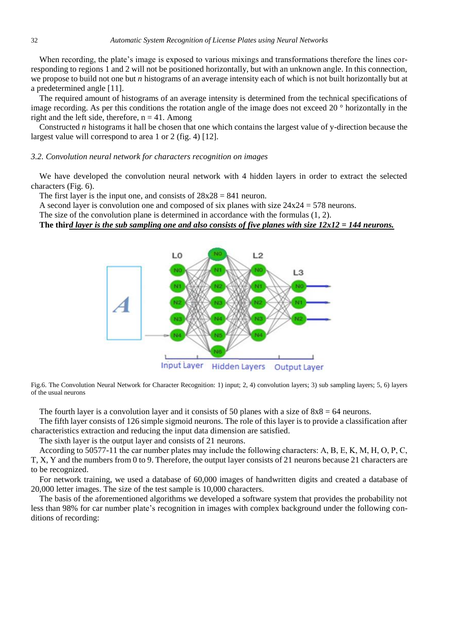When recording, the plate's image is exposed to various mixings and transformations therefore the lines corresponding to regions 1 and 2 will not be positioned horizontally, but with an unknown angle. In this connection, we propose to build not one but *n* histograms of an average intensity each of which is not built horizontally but at a predetermined angle [11].

The required amount of histograms of an average intensity is determined from the technical specifications of image recording. As per this conditions the rotation angle of the image does not exceed 20 ° horizontally in the right and the left side, therefore,  $n = 41$ . Among

Constructed *n* histograms it hall be chosen that one which contains the largest value of y-direction because the largest value will correspond to area 1 or 2 (fig. 4) [12].

#### *3.2. Convolution neural network for characters recognition on images*

We have developed the convolution neural network with 4 hidden layers in order to extract the selected characters (Fig. 6).

The first layer is the input one, and consists of  $28x28 = 841$  neuron.

A second layer is convolution one and composed of six planes with size  $24x24 = 578$  neurons.

The size of the convolution plane is determined in accordance with the formulas (1, 2).

## **The thir***d layer is the sub sampling one and also consists of five planes with size 12x12 = 144 neurons.*



Fig.6. The Convolution Neural Network for Character Recognition: 1) input; 2, 4) convolution layers; 3) sub sampling layers; 5, 6) layers of the usual neurons

The fourth layer is a convolution layer and it consists of 50 planes with a size of  $8x8 = 64$  neurons.

The fifth layer consists of 126 simple sigmoid neurons. The role of this layer is to provide a classification after characteristics extraction and reducing the input data dimension are satisfied.

The sixth layer is the output layer and consists of 21 neurons.

According to 50577-11 the car number plates may include the following characters: A, B, E, K, M, Н, O, P, C, T, X, Y and the numbers from 0 to 9. Therefore, the output layer consists of 21 neurons because 21 characters are to be recognized.

For network training, we used a database of 60,000 images of handwritten digits and created a database of 20,000 letter images. The size of the test sample is 10,000 characters.

The basis of the aforementioned algorithms we developed a software system that provides the probability not less than 98% for car number plate's recognition in images with complex background under the following conditions of recording: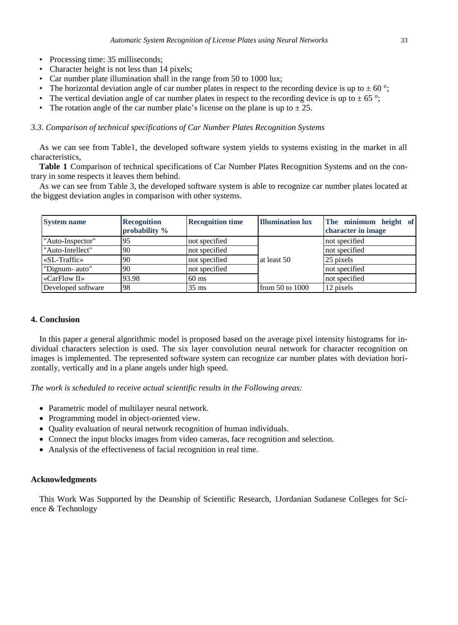- Processing time: 35 milliseconds;
- Character height is not less than 14 pixels;
- Car number plate illumination shall in the range from 50 to 1000 lux;
- The horizontal deviation angle of car number plates in respect to the recording device is up to  $\pm 60^\circ$ ;
- The vertical deviation angle of car number plates in respect to the recording device is up to  $\pm 65^\circ$ ;
- The rotation angle of the car number plate's license on the plane is up to  $\pm 25$ .

#### *3.3. Comparison of technical specifications of Car Number Plates Recognition Systems*

As we can see from Table1, the developed software system yields to systems existing in the market in all characteristics,

**Table 1** Comparison of technical specifications of Car Number Plates Recognition Systems and on the contrary in some respects it leaves them behind.

As we can see from Table 3, the developed software system is able to recognize car number plates located at the biggest deviation angles in comparison with other systems.

| <b>System name</b> | <b>Recognition</b><br>probability % | <b>Recognition time</b> | <b>Illumination lux</b> | The minimum height of<br>character in image |
|--------------------|-------------------------------------|-------------------------|-------------------------|---------------------------------------------|
| "Auto-Inspector"   | 95                                  | not specified           | at least 50             | not specified                               |
| "Auto-Intellect"   | 90                                  | not specified           |                         | not specified                               |
| $\&$ L-Traffic »   | 90                                  | not specified           |                         | 25 pixels                                   |
| "Dignum- auto"     | 90                                  | not specified           |                         | not specified                               |
| $\ll$ CarFlow II » | 93.98                               | $60 \text{ ms}$         |                         | not specified                               |
| Developed software | 98                                  | $35 \text{ ms}$         | from $50$ to $1000$     | 12 pixels                                   |

## **4. Conclusion**

In this paper a general algorithmic model is proposed based on the average pixel intensity histograms for individual characters selection is used. The six layer convolution neural network for character recognition on images is implemented. The represented software system can recognize car number plates with deviation horizontally, vertically and in a plane angels under high speed.

*The work is scheduled to receive actual scientific results in the Following areas:*

- Parametric model of multilayer neural network.
- Programming model in object-oriented view.
- Quality evaluation of neural network recognition of human individuals.
- Connect the input blocks images from video cameras, face recognition and selection.
- Analysis of the effectiveness of facial recognition in real time.

#### **Acknowledgments**

This Work Was Supported by the Deanship of Scientific Research, 1Jordanian Sudanese Colleges for Science & Technology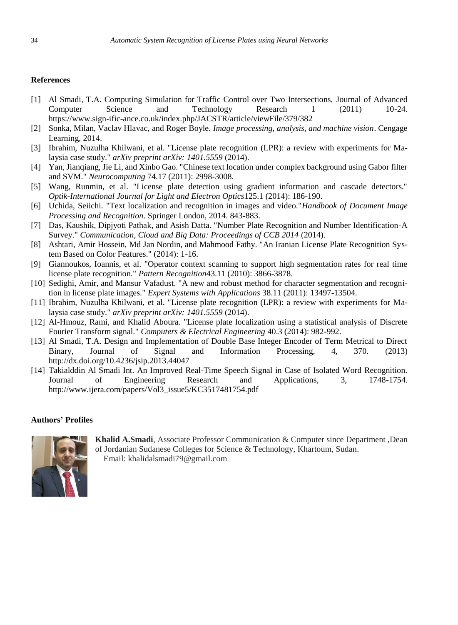### **References**

- [1] Al Smadi, T.A. Computing Simulation for Traffic Control over Two Intersections, Journal of Advanced Computer Science and Technology Research 1 (2011) 10-24. <https://www.sign-ific-ance.co.uk/index.php/JACSTR/article/viewFile/379/382>
- [2] Sonka, Milan, Vaclav Hlavac, and Roger Boyle. *Image processing, analysis, and machine vision*. Cengage Learning, 2014.
- [3] Ibrahim, Nuzulha Khilwani, et al. "License plate recognition (LPR): a review with experiments for Malaysia case study." *arXiv preprint arXiv: 1401.5559* (2014).
- [4] Yan, Jianqiang, Jie Li, and Xinbo Gao. "Chinese text location under complex background using Gabor filter and SVM." *Neurocomputing* 74.17 (2011): 2998-3008.
- [5] Wang, Runmin, et al. "License plate detection using gradient information and cascade detectors." *Optik-International Journal for Light and Electron Optics*125.1 (2014): 186-190.
- [6] Uchida, Seiichi. "Text localization and recognition in images and video."*Handbook of Document Image Processing and Recognition*. Springer London, 2014. 843-883.
- [7] Das, Kaushik, Dipjyoti Pathak, and Asish Datta. "Number Plate Recognition and Number Identification-A Survey." *Communication, Cloud and Big Data: Proceedings of CCB 2014* (2014).
- [8] Ashtari, Amir Hossein, Md Jan Nordin, and Mahmood Fathy. "An Iranian License Plate Recognition System Based on Color Features." (2014): 1-16.
- [9] Giannoukos, Ioannis, et al. "Operator context scanning to support high segmentation rates for real time license plate recognition." *Pattern Recognition*43.11 (2010): 3866-3878.
- [10] Sedighi, Amir, and Mansur Vafadust. "A new and robust method for character segmentation and recognition in license plate images." *Expert Systems with Applications* 38.11 (2011): 13497-13504.
- [11] Ibrahim, Nuzulha Khilwani, et al. "License plate recognition (LPR): a review with experiments for Malaysia case study." *arXiv preprint arXiv: 1401.5559* (2014).
- [12] Al-Hmouz, Rami, and Khalid Aboura. "License plate localization using a statistical analysis of Discrete Fourier Transform signal." *Computers & Electrical Engineering* 40.3 (2014): 982-992.
- [13] Al Smadi, T.A. Design and Implementation of Double Base Integer Encoder of Term Metrical to Direct Binary, Journal of Signal and Information Processing, 4, 370. (2013) http://dx.doi.org/10.4236/jsip.2013.44047
- [14] Takialddin Al Smadi Int. An Improved Real-Time Speech Signal in Case of Isolated Word Recognition. Journal of Engineering Research and Applications, 3, 1748-1754. [http://www.ijera.com/papers/Vol3\\_issue5/KC3517481754.pdf](http://www.ijera.com/papers/Vol3_issue5/KC3517481754.pdf)

## **Authors' Profiles**



**Khalid A.Smadi**, Associate Professor Communication & Computer since Department ,Dean of Jordanian Sudanese Colleges for Science & Technology, Khartoum, Sudan. Email: khalidalsmadi79@gmail.com